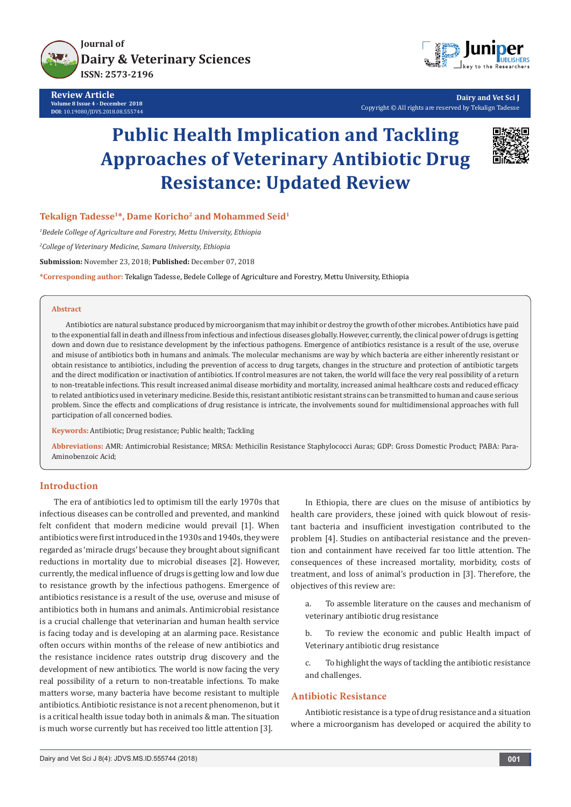

**Review Article Volume 8 Issue 4 - December 2018 DOI**: [10.19080/JDVS.2018.08.555744](http://dx.doi.org/10.19080/JDVS.2018.08.555744)



**Dairy and Vet Sci J** Copyright © All rights are reserved by Tekalign Tadesse

# **Public Health Implication and Tackling Approaches of Veterinary Antibiotic Drug Resistance: Updated Review**



Tekalign Tadesse<sup>1\*</sup>, Dame Koricho<sup>2</sup> and Mohammed Seid<sup>1</sup>

*1 Bedele College of Agriculture and Forestry, Mettu University, Ethiopia*

*2 College of Veterinary Medicine, Samara University, Ethiopia*

**Submission:** November 23, 2018; **Published:** December 07, 2018

**\*Corresponding author:** Tekalign Tadesse, Bedele College of Agriculture and Forestry, Mettu University, Ethiopia

#### **Abstract**

Antibiotics are natural substance produced by microorganism that may inhibit or destroy the growth of other microbes. Antibiotics have paid to the exponential fall in death and illness from infectious and infectious diseases globally. However, currently, the clinical power of drugs is getting down and down due to resistance development by the infectious pathogens. Emergence of antibiotics resistance is a result of the use, overuse and misuse of antibiotics both in humans and animals. The molecular mechanisms are way by which bacteria are either inherently resistant or obtain resistance to antibiotics, including the prevention of access to drug targets, changes in the structure and protection of antibiotic targets and the direct modification or inactivation of antibiotics. If control measures are not taken, the world will face the very real possibility of a return to non-treatable infections. This result increased animal disease morbidity and mortality, increased animal healthcare costs and reduced efficacy to related antibiotics used in veterinary medicine. Beside this, resistant antibiotic resistant strains can be transmitted to human and cause serious problem. Since the effects and complications of drug resistance is intricate, the involvements sound for multidimensional approaches with full participation of all concerned bodies.

**Keywords:** Antibiotic; Drug resistance; Public health; Tackling

**Abbreviations:** AMR: Antimicrobial Resistance; MRSA: Methicilin Resistance Staphylococci Auras; GDP: Gross Domestic Product; PABA: Para-Aminobenzoic Acid;

## **Introduction**

The era of antibiotics led to optimism till the early 1970s that infectious diseases can be controlled and prevented, and mankind felt confident that modern medicine would prevail [1]. When antibiotics were first introduced in the 1930s and 1940s, they were regarded as 'miracle drugs' because they brought about significant reductions in mortality due to microbial diseases [2]. However, currently, the medical influence of drugs is getting low and low due to resistance growth by the infectious pathogens. Emergence of antibiotics resistance is a result of the use, overuse and misuse of antibiotics both in humans and animals. Antimicrobial resistance is a crucial challenge that veterinarian and human health service is facing today and is developing at an alarming pace. Resistance often occurs within months of the release of new antibiotics and the resistance incidence rates outstrip drug discovery and the development of new antibiotics. The world is now facing the very real possibility of a return to non-treatable infections. To make matters worse, many bacteria have become resistant to multiple antibiotics. Antibiotic resistance is not a recent phenomenon, but it is a critical health issue today both in animals & man. The situation is much worse currently but has received too little attention [3].

In Ethiopia, there are clues on the misuse of antibiotics by health care providers, these joined with quick blowout of resistant bacteria and insufficient investigation contributed to the problem [4]. Studies on antibacterial resistance and the prevention and containment have received far too little attention. The consequences of these increased mortality, morbidity, costs of treatment, and loss of animal's production in [3]. Therefore, the objectives of this review are:

a. To assemble literature on the causes and mechanism of veterinary antibiotic drug resistance

b. To review the economic and public Health impact of Veterinary antibiotic drug resistance

c. To highlight the ways of tackling the antibiotic resistance and challenges.

## **Antibiotic Resistance**

Antibiotic resistance is a type of drug resistance and a situation where a microorganism has developed or acquired the ability to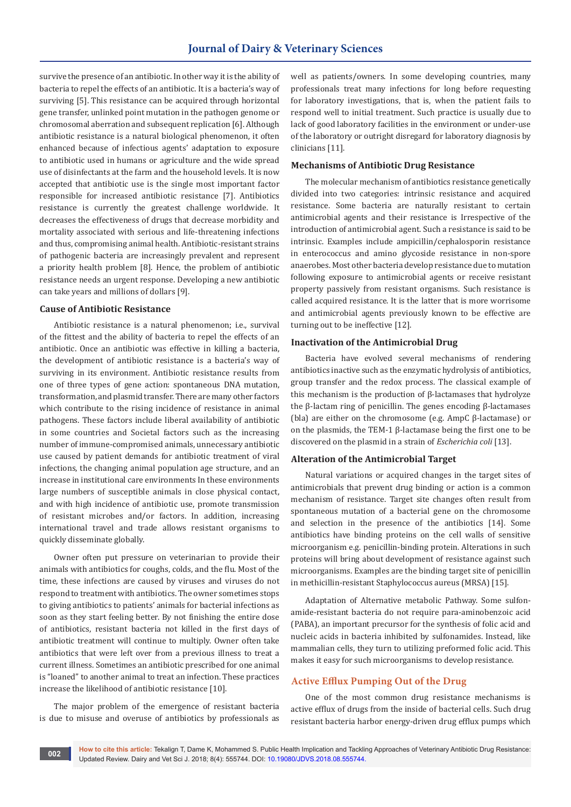survive the presence of an antibiotic. In other way it is the ability of bacteria to repel the effects of an antibiotic. It is a bacteria's way of surviving [5]. This resistance can be acquired through horizontal gene transfer, unlinked point mutation in the pathogen genome or chromosomal aberration and subsequent replication [6]. Although antibiotic resistance is a natural biological phenomenon, it often enhanced because of infectious agents' adaptation to exposure to antibiotic used in humans or agriculture and the wide spread use of disinfectants at the farm and the household levels. It is now accepted that antibiotic use is the single most important factor responsible for increased antibiotic resistance [7]. Antibiotics resistance is currently the greatest challenge worldwide. It decreases the effectiveness of drugs that decrease morbidity and mortality associated with serious and life-threatening infections and thus, compromising animal health. Antibiotic-resistant strains of pathogenic bacteria are increasingly prevalent and represent a priority health problem [8]. Hence, the problem of antibiotic resistance needs an urgent response. Developing a new antibiotic can take years and millions of dollars [9].

#### **Cause of Antibiotic Resistance**

Antibiotic resistance is a natural phenomenon; i.e., survival of the fittest and the ability of bacteria to repel the effects of an antibiotic. Once an antibiotic was effective in killing a bacteria, the development of antibiotic resistance is a bacteria's way of surviving in its environment. Antibiotic resistance results from one of three types of gene action: spontaneous DNA mutation, transformation, and plasmid transfer. There are many other factors which contribute to the rising incidence of resistance in animal pathogens. These factors include liberal availability of antibiotic in some countries and Societal factors such as the increasing number of immune-compromised animals, unnecessary antibiotic use caused by patient demands for antibiotic treatment of viral infections, the changing animal population age structure, and an increase in institutional care environments In these environments large numbers of susceptible animals in close physical contact, and with high incidence of antibiotic use, promote transmission of resistant microbes and/or factors. In addition, increasing international travel and trade allows resistant organisms to quickly disseminate globally.

Owner often put pressure on veterinarian to provide their animals with antibiotics for coughs, colds, and the flu. Most of the time, these infections are caused by viruses and viruses do not respond to treatment with antibiotics. The owner sometimes stops to giving antibiotics to patients' animals for bacterial infections as soon as they start feeling better. By not finishing the entire dose of antibiotics, resistant bacteria not killed in the first days of antibiotic treatment will continue to multiply. Owner often take antibiotics that were left over from a previous illness to treat a current illness. Sometimes an antibiotic prescribed for one animal is "loaned" to another animal to treat an infection. These practices increase the likelihood of antibiotic resistance [10].

The major problem of the emergence of resistant bacteria is due to misuse and overuse of antibiotics by professionals as

well as patients/owners. In some developing countries, many professionals treat many infections for long before requesting for laboratory investigations, that is, when the patient fails to respond well to initial treatment. Such practice is usually due to lack of good laboratory facilities in the environment or under-use of the laboratory or outright disregard for laboratory diagnosis by clinicians [11].

#### **Mechanisms of Antibiotic Drug Resistance**

The molecular mechanism of antibiotics resistance genetically divided into two categories: intrinsic resistance and acquired resistance. Some bacteria are naturally resistant to certain antimicrobial agents and their resistance is Irrespective of the introduction of antimicrobial agent. Such a resistance is said to be intrinsic. Examples include ampicillin/cephalosporin resistance in enterococcus and amino glycoside resistance in non-spore anaerobes. Most other bacteria develop resistance due to mutation following exposure to antimicrobial agents or receive resistant property passively from resistant organisms. Such resistance is called acquired resistance. It is the latter that is more worrisome and antimicrobial agents previously known to be effective are turning out to be ineffective [12].

#### **Inactivation of the Antimicrobial Drug**

Bacteria have evolved several mechanisms of rendering antibiotics inactive such as the enzymatic hydrolysis of antibiotics, group transfer and the redox process. The classical example of this mechanism is the production of β-lactamases that hydrolyze the β-lactam ring of penicillin. The genes encoding β-lactamases (bla) are either on the chromosome (e.g. AmpC β-lactamase) or on the plasmids, the TEM-1 β-lactamase being the first one to be discovered on the plasmid in a strain of *Escherichia coli* [13].

#### **Alteration of the Antimicrobial Target**

Natural variations or acquired changes in the target sites of antimicrobials that prevent drug binding or action is a common mechanism of resistance. Target site changes often result from spontaneous mutation of a bacterial gene on the chromosome and selection in the presence of the antibiotics [14]. Some antibiotics have binding proteins on the cell walls of sensitive microorganism e.g. penicillin-binding protein. Alterations in such proteins will bring about development of resistance against such microorganisms. Examples are the binding target site of penicillin in methicillin-resistant Staphylococcus aureus (MRSA) [15].

Adaptation of Alternative metabolic Pathway. Some sulfonamide-resistant bacteria do not require para-aminobenzoic acid (PABA), an important precursor for the synthesis of folic acid and nucleic acids in bacteria inhibited by sulfonamides. Instead, like mammalian cells, they turn to utilizing preformed folic acid. This makes it easy for such microorganisms to develop resistance.

#### **Active Efflux Pumping Out of the Drug**

One of the most common drug resistance mechanisms is active efflux of drugs from the inside of bacterial cells. Such drug resistant bacteria harbor energy-driven drug efflux pumps which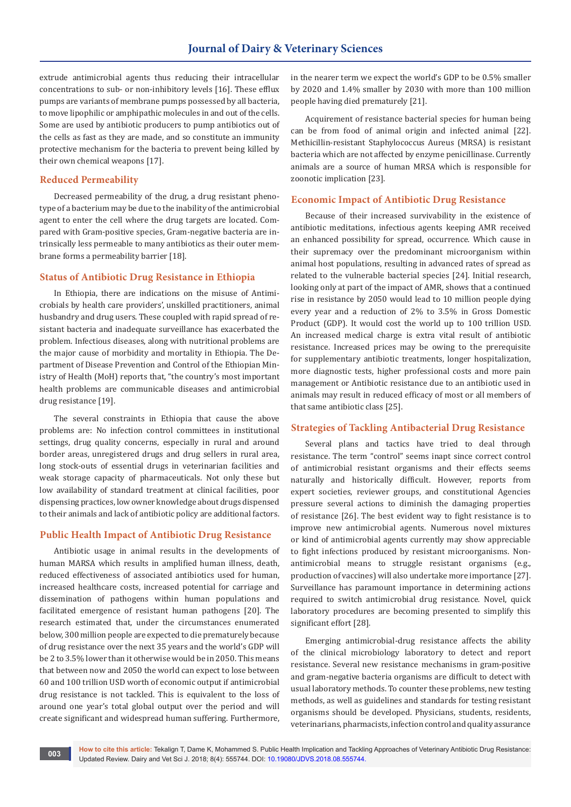extrude antimicrobial agents thus reducing their intracellular concentrations to sub- or non-inhibitory levels [16]. These efflux pumps are variants of membrane pumps possessed by all bacteria, to move lipophilic or amphipathic molecules in and out of the cells. Some are used by antibiotic producers to pump antibiotics out of the cells as fast as they are made, and so constitute an immunity protective mechanism for the bacteria to prevent being killed by their own chemical weapons [17].

## **Reduced Permeability**

Decreased permeability of the drug, a drug resistant phenotype of a bacterium may be due to the inability of the antimicrobial agent to enter the cell where the drug targets are located. Compared with Gram-positive species, Gram-negative bacteria are intrinsically less permeable to many antibiotics as their outer membrane forms a permeability barrier [18].

## **Status of Antibiotic Drug Resistance in Ethiopia**

In Ethiopia, there are indications on the misuse of Antimicrobials by health care providers', unskilled practitioners, animal husbandry and drug users. These coupled with rapid spread of resistant bacteria and inadequate surveillance has exacerbated the problem. Infectious diseases, along with nutritional problems are the major cause of morbidity and mortality in Ethiopia. The Department of Disease Prevention and Control of the Ethiopian Ministry of Health (MoH) reports that, "the country's most important health problems are communicable diseases and antimicrobial drug resistance [19].

The several constraints in Ethiopia that cause the above problems are: No infection control committees in institutional settings, drug quality concerns, especially in rural and around border areas, unregistered drugs and drug sellers in rural area, long stock-outs of essential drugs in veterinarian facilities and weak storage capacity of pharmaceuticals. Not only these but low availability of standard treatment at clinical facilities, poor dispensing practices, low owner knowledge about drugs dispensed to their animals and lack of antibiotic policy are additional factors.

## **Public Health Impact of Antibiotic Drug Resistance**

Antibiotic usage in animal results in the developments of human MARSA which results in amplified human illness, death, reduced effectiveness of associated antibiotics used for human, increased healthcare costs, increased potential for carriage and dissemination of pathogens within human populations and facilitated emergence of resistant human pathogens [20]. The research estimated that, under the circumstances enumerated below, 300 million people are expected to die prematurely because of drug resistance over the next 35 years and the world's GDP will be 2 to 3.5% lower than it otherwise would be in 2050. This means that between now and 2050 the world can expect to lose between 60 and 100 trillion USD worth of economic output if antimicrobial drug resistance is not tackled. This is equivalent to the loss of around one year's total global output over the period and will create significant and widespread human suffering. Furthermore,

in the nearer term we expect the world's GDP to be 0.5% smaller by 2020 and 1.4% smaller by 2030 with more than 100 million people having died prematurely [21].

Acquirement of resistance bacterial species for human being can be from food of animal origin and infected animal [22]. Methicillin-resistant Staphylococcus Aureus (MRSA) is resistant bacteria which are not affected by enzyme penicillinase. Currently animals are a source of human MRSA which is responsible for zoonotic implication [23].

## **Economic Impact of Antibiotic Drug Resistance**

Because of their increased survivability in the existence of antibiotic meditations, infectious agents keeping AMR received an enhanced possibility for spread, occurrence. Which cause in their supremacy over the predominant microorganism within animal host populations, resulting in advanced rates of spread as related to the vulnerable bacterial species [24]. Initial research, looking only at part of the impact of AMR, shows that a continued rise in resistance by 2050 would lead to 10 million people dying every year and a reduction of 2% to 3.5% in Gross Domestic Product (GDP). It would cost the world up to 100 trillion USD. An increased medical charge is extra vital result of antibiotic resistance. Increased prices may be owing to the prerequisite for supplementary antibiotic treatments, longer hospitalization, more diagnostic tests, higher professional costs and more pain management or Antibiotic resistance due to an antibiotic used in animals may result in reduced efficacy of most or all members of that same antibiotic class [25].

## **Strategies of Tackling Antibacterial Drug Resistance**

Several plans and tactics have tried to deal through resistance. The term "control" seems inapt since correct control of antimicrobial resistant organisms and their effects seems naturally and historically difficult. However, reports from expert societies, reviewer groups, and constitutional Agencies pressure several actions to diminish the damaging properties of resistance [26]. The best evident way to fight resistance is to improve new antimicrobial agents. Numerous novel mixtures or kind of antimicrobial agents currently may show appreciable to fight infections produced by resistant microorganisms. Nonantimicrobial means to struggle resistant organisms (e.g., production of vaccines) will also undertake more importance [27]. Surveillance has paramount importance in determining actions required to switch antimicrobial drug resistance. Novel, quick laboratory procedures are becoming presented to simplify this significant effort [28].

Emerging antimicrobial-drug resistance affects the ability of the clinical microbiology laboratory to detect and report resistance. Several new resistance mechanisms in gram-positive and gram-negative bacteria organisms are difficult to detect with usual laboratory methods. To counter these problems, new testing methods, as well as guidelines and standards for testing resistant organisms should be developed. Physicians, students, residents, veterinarians, pharmacists, infection control and quality assurance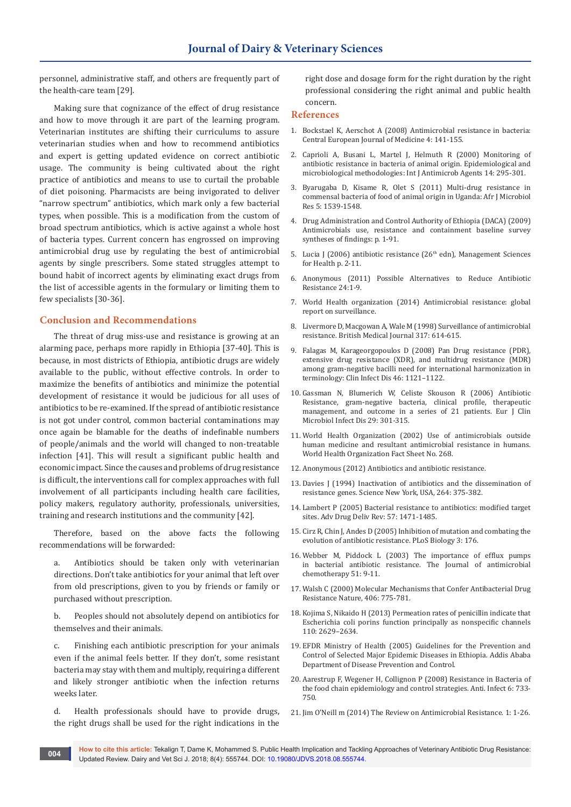personnel, administrative staff, and others are frequently part of the health-care team [29].

Making sure that cognizance of the effect of drug resistance and how to move through it are part of the learning program. Veterinarian institutes are shifting their curriculums to assure veterinarian studies when and how to recommend antibiotics and expert is getting updated evidence on correct antibiotic usage. The community is being cultivated about the right practice of antibiotics and means to use to curtail the probable of diet poisoning. Pharmacists are being invigorated to deliver "narrow spectrum" antibiotics, which mark only a few bacterial types, when possible. This is a modification from the custom of broad spectrum antibiotics, which is active against a whole host of bacteria types. Current concern has engrossed on improving antimicrobial drug use by regulating the best of antimicrobial agents by single prescribers. Some stated struggles attempt to bound habit of incorrect agents by eliminating exact drugs from the list of accessible agents in the formulary or limiting them to few specialists [30-36].

## **Conclusion and Recommendations**

The threat of drug miss-use and resistance is growing at an alarming pace, perhaps more rapidly in Ethiopia [37-40]. This is because, in most districts of Ethiopia, antibiotic drugs are widely available to the public, without effective controls. In order to maximize the benefits of antibiotics and minimize the potential development of resistance it would be judicious for all uses of antibiotics to be re-examined. If the spread of antibiotic resistance is not got under control, common bacterial contaminations may once again be blamable for the deaths of indefinable numbers of people/animals and the world will changed to non-treatable infection [41]. This will result a significant public health and economic impact. Since the causes and problems of drug resistance is difficult, the interventions call for complex approaches with full involvement of all participants including health care facilities, policy makers, regulatory authority, professionals, universities, training and research institutions and the community [42].

Therefore, based on the above facts the following recommendations will be forwarded:

a. Antibiotics should be taken only with veterinarian directions. Don't take antibiotics for your animal that left over from old prescriptions, given to you by friends or family or purchased without prescription.

b. Peoples should not absolutely depend on antibiotics for themselves and their animals.

c. Finishing each antibiotic prescription for your animals even if the animal feels better. If they don't, some resistant bacteria may stay with them and multiply, requiring a different and likely stronger antibiotic when the infection returns weeks later.

d. Health professionals should have to provide drugs, the right drugs shall be used for the right indications in the right dose and dosage form for the right duration by the right professional considering the right animal and public health concern.

#### **References**

- 1. Bockstael K, Aerschot A (2008) Antimicrobial resistance in bacteria: Central European Journal of Medicine 4: 141-155.
- 2. [Caprioli A, Busani L, Martel J, Helmuth R \(2000\) Monitoring of](https://www.ncbi.nlm.nih.gov/pubmed/10794950)  [antibiotic resistance in bacteria of animal origin. Epidemiological and](https://www.ncbi.nlm.nih.gov/pubmed/10794950)  [microbiological methodologies: Int J Antimicrob Agents 14: 295-301](https://www.ncbi.nlm.nih.gov/pubmed/10794950).
- 3. [Byarugaba D, Kisame R, Olet S \(2011\) Multi-drug resistance in](https://academicjournals.org/journal/AJMR/article-abstract/DEF9CFB31237)  [commensal bacteria of food of animal origin in Uganda: Afr J Microbiol](https://academicjournals.org/journal/AJMR/article-abstract/DEF9CFB31237)  [Res 5: 1539-1548.](https://academicjournals.org/journal/AJMR/article-abstract/DEF9CFB31237)
- 4. Drug Administration and Control Authority of Ethiopia (DACA) (2009) Antimicrobials use, resistance and containment baseline survey syntheses of findings: p. 1-91.
- 5. Lucia J (2006) antibiotic resistance (26<sup>th</sup> edn), Management Sciences for Health p. 2-11.
- 6. Anonymous (2011) Possible Alternatives to Reduce Antibiotic Resistance 24:1-9.
- 7. World Health organization (2014) Antimicrobial resistance: global report on surveillance.
- 8. Livermore D, Macgowan A, Wale M (1998) Surveillance of antimicrobial resistance. British Medical Journal 317: 614-615.
- 9. Falagas M, Karageorgopoulos D (2008) Pan Drug resistance (PDR), extensive drug resistance (XDR), and multidrug resistance (MDR) among gram-negative bacilli need for international harmonization in terminology: Clin Infect Dis 46: 1121–1122.
- 10. Gassman N, Blumerich W, Celiste Skouson R (2006) Antibiotic Resistance, gram-negative bacteria, clinical profile, therapeutic management, and outcome in a series of 21 patients. Eur J Clin Microbiol Infect Dis 29: 301-315.
- 11. World Health Organization (2002) Use of antimicrobials outside human medicine and resultant antimicrobial resistance in humans. World Health Organization Fact Sheet No. 268.
- 12. Anonymous (2012) Antibiotics and antibiotic resistance.
- 13. [Davies J \(1994\) Inactivation of antibiotics and the dissemination of](https://www.ncbi.nlm.nih.gov/pubmed/8153624)  [resistance genes. Science New York, USA, 264: 375-382.](https://www.ncbi.nlm.nih.gov/pubmed/8153624)
- 14. Lambert P (2005) Bacterial resistance to antibiotics: modified target sites. Adv Drug Deliv Rev: 57: 1471-1485.
- 15. Cirz R, Chin J, Andes D (2005) Inhibition of mutation and combating the evolution of antibiotic resistance. PLoS Biology 3: 176.
- 16. [Webber M, Piddock L \(2003\) The importance of efflux pumps](https://www.ncbi.nlm.nih.gov/pubmed/12493781)  [in bacterial antibiotic resistance. The Journal of antimicrobial](https://www.ncbi.nlm.nih.gov/pubmed/12493781)  chemotherany 51: 9-11.
- 17. [Walsh C \(2000\) Molecular Mechanisms that Confer Antibacterial Drug](https://www.ncbi.nlm.nih.gov/pubmed/10963607)  [Resistance Nature, 406: 775-781.](https://www.ncbi.nlm.nih.gov/pubmed/10963607)
- 18. [Kojima S, Nikaido H \(2013\) Permeation rates of penicillin indicate that](https://www.ncbi.nlm.nih.gov/pubmed/23798411)  [Escherichia coli porins function principally as nonspecific channels](https://www.ncbi.nlm.nih.gov/pubmed/23798411)  [110: 2629–2634.](https://www.ncbi.nlm.nih.gov/pubmed/23798411)
- 19. EFDR Ministry of Health (2005) Guidelines for the Prevention and Control of Selected Major Epidemic Diseases in Ethiopia. Addis Ababa Department of Disease Prevention and Control.
- 20. [Aarestrup F, Wegener H, Collignon P \(2008\) Resistance in Bacteria of](https://www.ncbi.nlm.nih.gov/pubmed/18847409)  [the food chain epidemiology and control strategies. Anti. Infect 6: 733-](https://www.ncbi.nlm.nih.gov/pubmed/18847409) [750.](https://www.ncbi.nlm.nih.gov/pubmed/18847409)
- 21. Jim O'Neill m (2014) The Review on Antimicrobial Resistance. 1: 1-26.